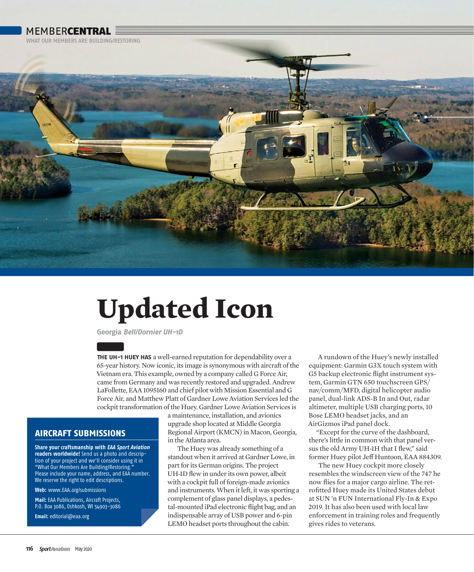## **MEMBERCENTRAL**

WHAT OUR MEMRERS ARE RUILDING/RESTORING



## **Updated Icon**

**Georgia Bell/Dornier UH-1D**

**THE UH-1 HUEY HAS** a well-earned reputation for dependability over a 65-year history. Now iconic, its image is synonymous with aircraft of the Vietnam era. This example, owned by a company called G Force Air, came from Germany and was recently restored and upgraded. Andrew LaFollette, EAA 1095160 and chief pilot with Mission Essential and G Force Air, and Matthew Platt of Gardner Lowe Aviation Services led the cockpit transformation of the Huey. Gardner Lowe Aviation Services is

> a maintenance, installation, and avionics upgrade shop located at Middle Georgia Regional Airport (KMCN) in Macon, Georgia, in the Atlanta area.

The Huey was already something of a standout when it arrived at Gardner Lowe, in part for its German origins. The project UH-1D flew in under its own power, albeit with a cockpit full of foreign-made avionics and instruments. When it left, it was sporting a complement of glass panel displays, a pedestal-mounted iPad electronic flight bag, and an indispensable array of USB power and 6-pin LEMO headset ports throughout the cabin.

A rundown of the Huey's newly installed equipment: Garmin G3X touch system with G5 backup electronic flight instrument system, Garmin GTN 650 touchscreen GPS/ nav/comm/MFD, digital helicopter audio panel, dual-link ADS-B In and Out, radar altimeter, multiple USB charging ports, 10 Bose LEMO headset jacks, and an AirGizmos iPad panel dock.

"Except for the curve of the dashboard, there's little in common with that panel versus the old Army UH-1H that I flew," said former Huey pilot Jeff Huntoon, EAA 884309.

The new Huey cockpit more closely resembles the windscreen view of the 747 he now flies for a major cargo airline. The retrofitted Huey made its United States debut at SUN 'n FUN International Fly-In & Expo 2019. It has also been used with local law enforcement in training roles and frequently gives rides to veterans.

## **AIRCRAFT SUBMISSIONS**

**Share your craftsmanship with EAA Sport Aviation readers worldwide!** Send us a photo and description of your project and we'll consider using it in "What Our Members Are Building/Restoring. Please include your name, address, and EAA number. We reserve the right to edit descriptions.

**Web:** www.EAA.org/submissions

**Mail:** EAA Publications, Aircraft Projects, P.O. Box 3086, Oshkosh, WI 54903-3086

**Email:** editorial@eaa.org